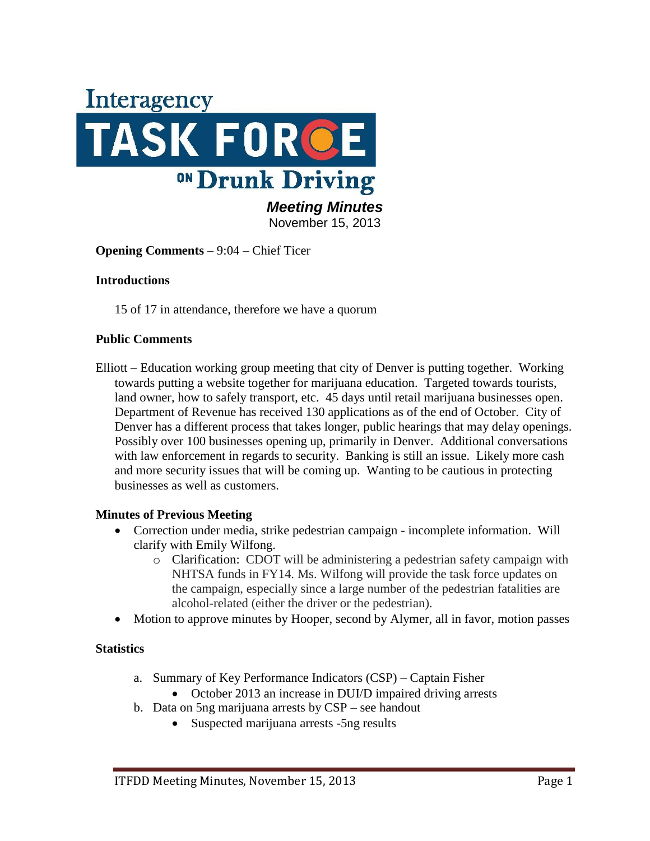

November 15, 2013

**Opening Comments** – 9:04 – Chief Ticer

#### **Introductions**

15 of 17 in attendance, therefore we have a quorum

#### **Public Comments**

Elliott – Education working group meeting that city of Denver is putting together. Working towards putting a website together for marijuana education. Targeted towards tourists, land owner, how to safely transport, etc. 45 days until retail marijuana businesses open. Department of Revenue has received 130 applications as of the end of October. City of Denver has a different process that takes longer, public hearings that may delay openings. Possibly over 100 businesses opening up, primarily in Denver. Additional conversations with law enforcement in regards to security. Banking is still an issue. Likely more cash and more security issues that will be coming up. Wanting to be cautious in protecting businesses as well as customers.

#### **Minutes of Previous Meeting**

- Correction under media, strike pedestrian campaign incomplete information. Will clarify with Emily Wilfong.
	- o Clarification: CDOT will be administering a pedestrian safety campaign with NHTSA funds in FY14. Ms. Wilfong will provide the task force updates on the campaign, especially since a large number of the pedestrian fatalities are alcohol-related (either the driver or the pedestrian).
- Motion to approve minutes by Hooper, second by Alymer, all in favor, motion passes

#### **Statistics**

- a. Summary of Key Performance Indicators (CSP) Captain Fisher
	- October 2013 an increase in DUI/D impaired driving arrests
- b. Data on 5ng marijuana arrests by CSP see handout
	- Suspected marijuana arrests -5ng results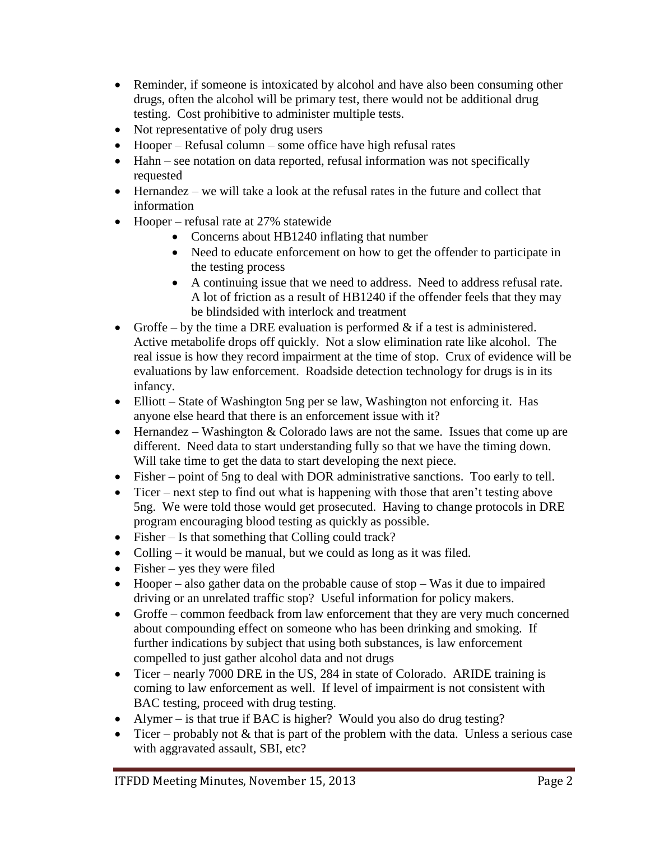- Reminder, if someone is intoxicated by alcohol and have also been consuming other drugs, often the alcohol will be primary test, there would not be additional drug testing. Cost prohibitive to administer multiple tests.
- Not representative of poly drug users
- Hooper Refusal column some office have high refusal rates
- Hahn see notation on data reported, refusal information was not specifically requested
- Hernandez we will take a look at the refusal rates in the future and collect that information
- Hooper refusal rate at 27% statewide
	- Concerns about HB1240 inflating that number
	- Need to educate enforcement on how to get the offender to participate in the testing process
	- A continuing issue that we need to address. Need to address refusal rate. A lot of friction as a result of HB1240 if the offender feels that they may be blindsided with interlock and treatment
- Groffe by the time a DRE evaluation is performed  $\&$  if a test is administered. Active metabolife drops off quickly. Not a slow elimination rate like alcohol. The real issue is how they record impairment at the time of stop. Crux of evidence will be evaluations by law enforcement. Roadside detection technology for drugs is in its infancy.
- Elliott State of Washington 5ng per se law, Washington not enforcing it. Has anyone else heard that there is an enforcement issue with it?
- $\bullet$  Hernandez Washington & Colorado laws are not the same. Issues that come up are different. Need data to start understanding fully so that we have the timing down. Will take time to get the data to start developing the next piece.
- Fisher point of 5ng to deal with DOR administrative sanctions. Too early to tell.
- Ticer next step to find out what is happening with those that aren't testing above 5ng. We were told those would get prosecuted. Having to change protocols in DRE program encouraging blood testing as quickly as possible.
- Fisher Is that something that Colling could track?
- Colling it would be manual, but we could as long as it was filed.
- $\bullet$  Fisher yes they were filed
- $\bullet$  Hooper also gather data on the probable cause of stop Was it due to impaired driving or an unrelated traffic stop? Useful information for policy makers.
- Groffe common feedback from law enforcement that they are very much concerned about compounding effect on someone who has been drinking and smoking. If further indications by subject that using both substances, is law enforcement compelled to just gather alcohol data and not drugs
- Ticer nearly 7000 DRE in the US, 284 in state of Colorado. ARIDE training is coming to law enforcement as well. If level of impairment is not consistent with BAC testing, proceed with drug testing.
- Alymer is that true if BAC is higher? Would you also do drug testing?
- Ticer probably not  $&$  that is part of the problem with the data. Unless a serious case with aggravated assault, SBI, etc?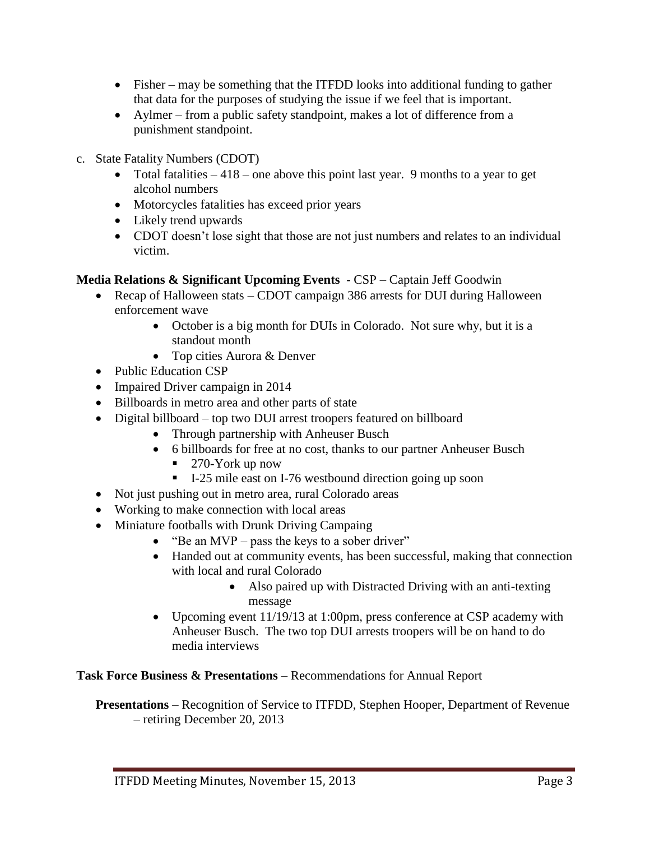- Fisher may be something that the ITFDD looks into additional funding to gather that data for the purposes of studying the issue if we feel that is important.
- Aylmer from a public safety standpoint, makes a lot of difference from a punishment standpoint.
- c. State Fatality Numbers (CDOT)
	- Total fatalities  $-418$  one above this point last year. 9 months to a year to get alcohol numbers
	- Motorcycles fatalities has exceed prior years
	- Likely trend upwards
	- CDOT doesn't lose sight that those are not just numbers and relates to an individual victim.

## **Media Relations & Significant Upcoming Events** - CSP – Captain Jeff Goodwin

- Recap of Halloween stats CDOT campaign 386 arrests for DUI during Halloween enforcement wave
	- October is a big month for DUIs in Colorado. Not sure why, but it is a standout month
	- Top cities Aurora & Denver
- Public Education CSP
- Impaired Driver campaign in 2014
- Billboards in metro area and other parts of state
- Digital billboard top two DUI arrest troopers featured on billboard
	- Through partnership with Anheuser Busch
	- 6 billboards for free at no cost, thanks to our partner Anheuser Busch
		- 270-York up now
		- I-25 mile east on I-76 westbound direction going up soon
- Not just pushing out in metro area, rural Colorado areas
- Working to make connection with local areas
- Miniature footballs with Drunk Driving Campaing
	- $\bullet$  "Be an MVP pass the keys to a sober driver"
	- Handed out at community events, has been successful, making that connection with local and rural Colorado
		- Also paired up with Distracted Driving with an anti-texting message
	- Upcoming event 11/19/13 at 1:00pm, press conference at CSP academy with Anheuser Busch. The two top DUI arrests troopers will be on hand to do media interviews

**Task Force Business & Presentations** – Recommendations for Annual Report

**Presentations** – Recognition of Service to ITFDD, Stephen Hooper, Department of Revenue – retiring December 20, 2013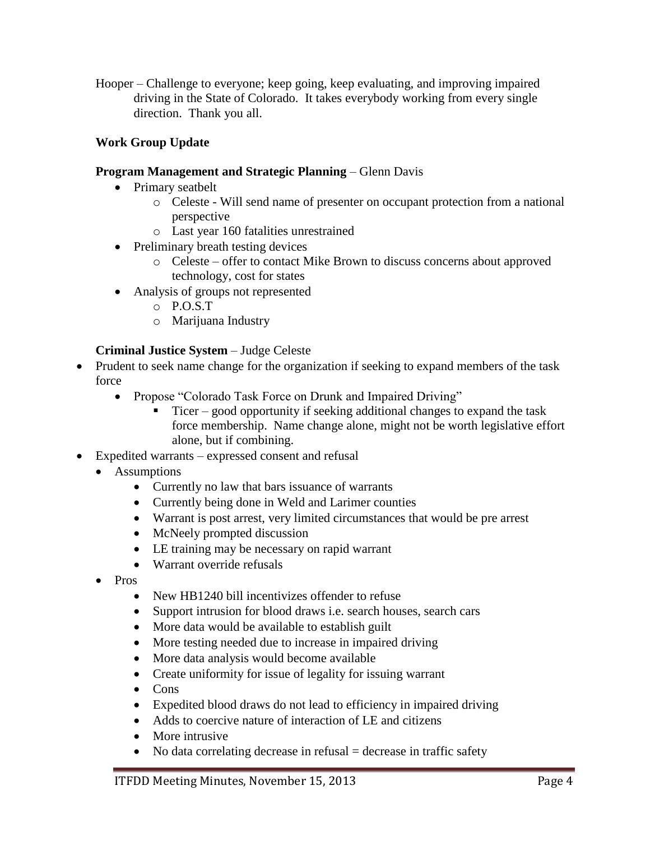Hooper – Challenge to everyone; keep going, keep evaluating, and improving impaired driving in the State of Colorado. It takes everybody working from every single direction. Thank you all.

# **Work Group Update**

## **Program Management and Strategic Planning** – Glenn Davis

- Primary seatbelt
	- o Celeste Will send name of presenter on occupant protection from a national perspective
	- o Last year 160 fatalities unrestrained
- Preliminary breath testing devices
	- o Celeste offer to contact Mike Brown to discuss concerns about approved technology, cost for states
- Analysis of groups not represented
	- o P.O.S.T
	- o Marijuana Industry

# **Criminal Justice System** – Judge Celeste

- Prudent to seek name change for the organization if seeking to expand members of the task force
	- Propose "Colorado Task Force on Drunk and Impaired Driving"
		- Ticer good opportunity if seeking additional changes to expand the task force membership. Name change alone, might not be worth legislative effort alone, but if combining.
- Expedited warrants expressed consent and refusal
	- Assumptions
		- Currently no law that bars issuance of warrants
		- Currently being done in Weld and Larimer counties
		- Warrant is post arrest, very limited circumstances that would be pre arrest
		- McNeely prompted discussion
		- LE training may be necessary on rapid warrant
		- Warrant override refusals
	- Pros
		- New HB1240 bill incentivizes offender to refuse
		- Support intrusion for blood draws i.e. search houses, search cars
		- More data would be available to establish guilt
		- More testing needed due to increase in impaired driving
		- More data analysis would become available
		- Create uniformity for issue of legality for issuing warrant
		- Cons
		- Expedited blood draws do not lead to efficiency in impaired driving
		- Adds to coercive nature of interaction of LE and citizens
		- More intrusive
		- $\bullet$  No data correlating decrease in refusal = decrease in traffic safety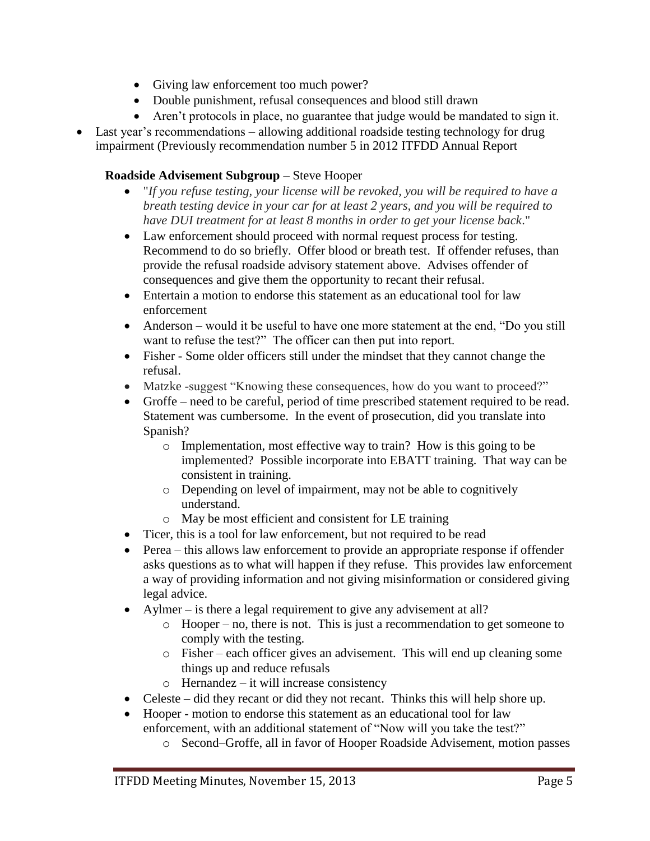- Giving law enforcement too much power?
- Double punishment, refusal consequences and blood still drawn
- Aren't protocols in place, no guarantee that judge would be mandated to sign it.
- Last year's recommendations allowing additional roadside testing technology for drug impairment (Previously recommendation number 5 in 2012 ITFDD Annual Report

# **Roadside Advisement Subgroup** – Steve Hooper

- "*If you refuse testing, your license will be revoked, you will be required to have a breath testing device in your car for at least 2 years, and you will be required to have DUI treatment for at least 8 months in order to get your license back*."
- Law enforcement should proceed with normal request process for testing. Recommend to do so briefly. Offer blood or breath test. If offender refuses, than provide the refusal roadside advisory statement above. Advises offender of consequences and give them the opportunity to recant their refusal.
- Entertain a motion to endorse this statement as an educational tool for law enforcement
- Anderson would it be useful to have one more statement at the end, "Do you still want to refuse the test?" The officer can then put into report.
- Fisher Some older officers still under the mindset that they cannot change the refusal.
- Matzke -suggest "Knowing these consequences, how do you want to proceed?"
- Groffe need to be careful, period of time prescribed statement required to be read. Statement was cumbersome. In the event of prosecution, did you translate into Spanish?
	- o Implementation, most effective way to train? How is this going to be implemented? Possible incorporate into EBATT training. That way can be consistent in training.
	- o Depending on level of impairment, may not be able to cognitively understand.
	- o May be most efficient and consistent for LE training
- Ticer, this is a tool for law enforcement, but not required to be read
- Perea this allows law enforcement to provide an appropriate response if offender asks questions as to what will happen if they refuse. This provides law enforcement a way of providing information and not giving misinformation or considered giving legal advice.
- Aylmer is there a legal requirement to give any advisement at all?
	- o Hooper no, there is not. This is just a recommendation to get someone to comply with the testing.
	- o Fisher each officer gives an advisement. This will end up cleaning some things up and reduce refusals
	- o Hernandez it will increase consistency
- Celeste did they recant or did they not recant. Thinks this will help shore up.
- Hooper motion to endorse this statement as an educational tool for law enforcement, with an additional statement of "Now will you take the test?"
	- o Second–Groffe, all in favor of Hooper Roadside Advisement, motion passes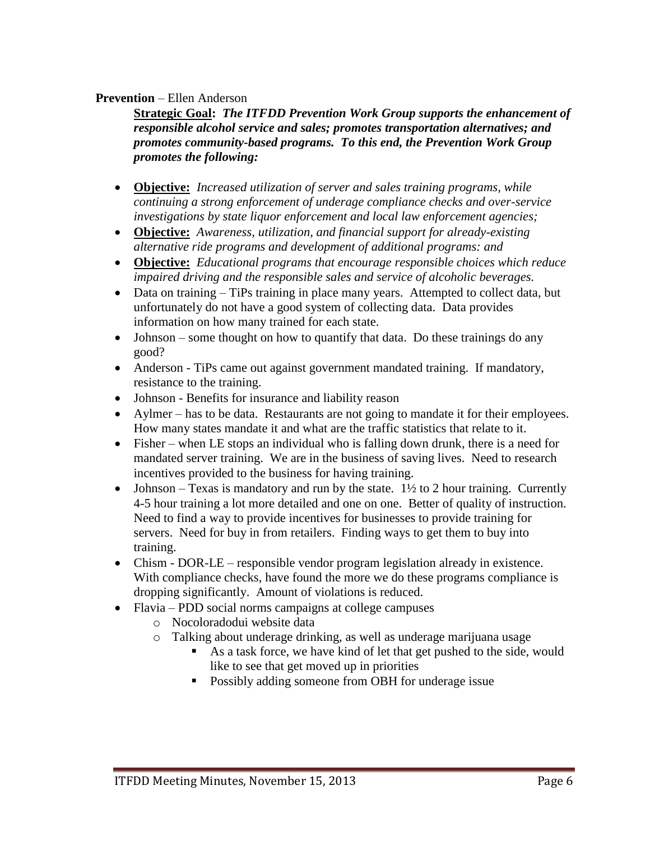#### **Prevention** – Ellen Anderson

**Strategic Goal:** *The ITFDD Prevention Work Group supports the enhancement of responsible alcohol service and sales; promotes transportation alternatives; and promotes community-based programs. To this end, the Prevention Work Group promotes the following:*

- **Objective:** *Increased utilization of server and sales training programs, while continuing a strong enforcement of underage compliance checks and over-service investigations by state liquor enforcement and local law enforcement agencies;*
- **Objective:** *Awareness, utilization, and financial support for already-existing alternative ride programs and development of additional programs: and*
- **Objective:** *Educational programs that encourage responsible choices which reduce impaired driving and the responsible sales and service of alcoholic beverages.*
- Data on training TiPs training in place many years. Attempted to collect data, but unfortunately do not have a good system of collecting data. Data provides information on how many trained for each state.
- Johnson some thought on how to quantify that data. Do these trainings do any good?
- Anderson TiPs came out against government mandated training. If mandatory, resistance to the training.
- Johnson Benefits for insurance and liability reason
- Aylmer has to be data. Restaurants are not going to mandate it for their employees. How many states mandate it and what are the traffic statistics that relate to it.
- Fisher when LE stops an individual who is falling down drunk, there is a need for mandated server training. We are in the business of saving lives. Need to research incentives provided to the business for having training.
- Johnson Texas is mandatory and run by the state.  $1\frac{1}{2}$  to 2 hour training. Currently 4-5 hour training a lot more detailed and one on one. Better of quality of instruction. Need to find a way to provide incentives for businesses to provide training for servers. Need for buy in from retailers. Finding ways to get them to buy into training.
- Chism DOR-LE responsible vendor program legislation already in existence. With compliance checks, have found the more we do these programs compliance is dropping significantly. Amount of violations is reduced.
- Flavia PDD social norms campaigns at college campuses
	- o Nocoloradodui website data
	- o Talking about underage drinking, as well as underage marijuana usage
		- As a task force, we have kind of let that get pushed to the side, would like to see that get moved up in priorities
		- **•** Possibly adding someone from OBH for underage issue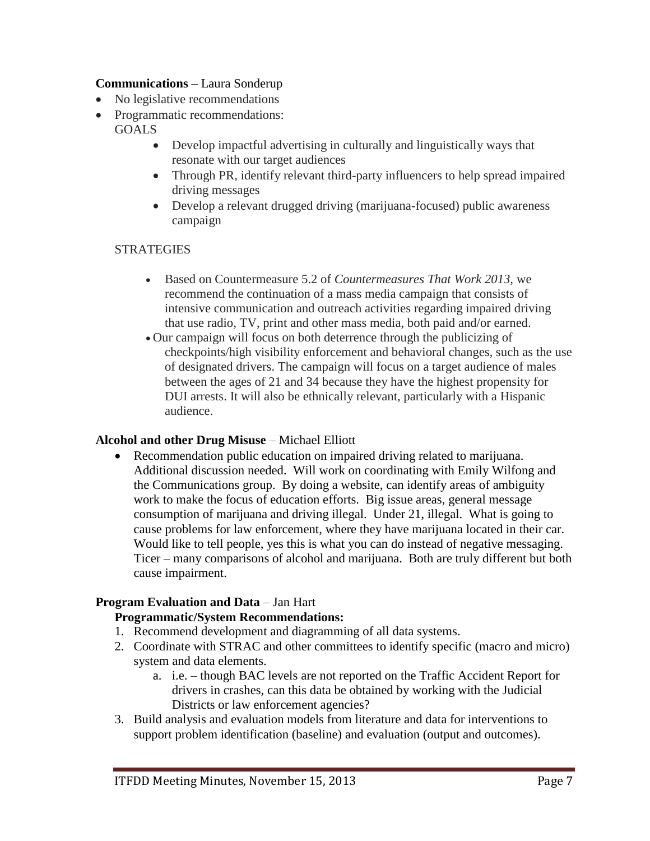#### **Communications** – Laura Sonderup

- No legislative recommendations
- Programmatic recommendations: **GOALS** 
	- Develop impactful advertising in culturally and linguistically ways that resonate with our target audiences
	- Through PR, identify relevant third-party influencers to help spread impaired driving messages
	- Develop a relevant drugged driving (marijuana-focused) public awareness campaign

## **STRATEGIES**

- Based on Countermeasure 5.2 of *Countermeasures That Work 2013,* we recommend the continuation of a mass media campaign that consists of intensive communication and outreach activities regarding impaired driving that use radio, TV, print and other mass media, both paid and/or earned.
- Our campaign will focus on both deterrence through the publicizing of checkpoints/high visibility enforcement and behavioral changes, such as the use of designated drivers. The campaign will focus on a target audience of males between the ages of 21 and 34 because they have the highest propensity for DUI arrests. It will also be ethnically relevant, particularly with a Hispanic audience.

## **Alcohol and other Drug Misuse** – Michael Elliott

 Recommendation public education on impaired driving related to marijuana. Additional discussion needed. Will work on coordinating with Emily Wilfong and the Communications group. By doing a website, can identify areas of ambiguity work to make the focus of education efforts. Big issue areas, general message consumption of marijuana and driving illegal. Under 21, illegal. What is going to cause problems for law enforcement, where they have marijuana located in their car. Would like to tell people, yes this is what you can do instead of negative messaging. Ticer – many comparisons of alcohol and marijuana. Both are truly different but both cause impairment.

## **Program Evaluation and Data** – Jan Hart

## **Programmatic/System Recommendations:**

- 1. Recommend development and diagramming of all data systems.
- 2. Coordinate with STRAC and other committees to identify specific (macro and micro) system and data elements.
	- a. i.e. though BAC levels are not reported on the Traffic Accident Report for drivers in crashes, can this data be obtained by working with the Judicial Districts or law enforcement agencies?
- 3. Build analysis and evaluation models from literature and data for interventions to support problem identification (baseline) and evaluation (output and outcomes).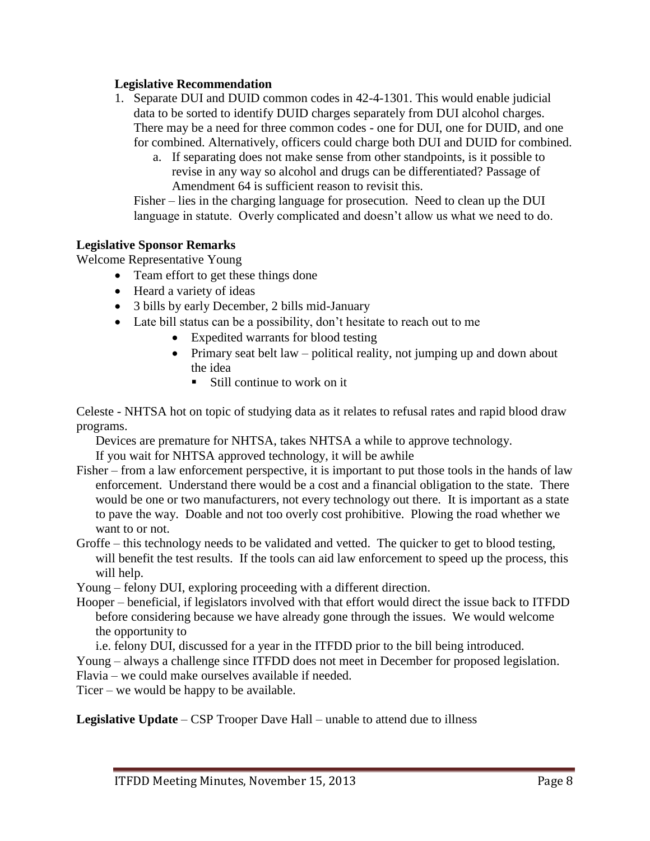### **Legislative Recommendation**

- 1. Separate DUI and DUID common codes in 42-4-1301. This would enable judicial data to be sorted to identify DUID charges separately from DUI alcohol charges. There may be a need for three common codes - one for DUI, one for DUID, and one for combined. Alternatively, officers could charge both DUI and DUID for combined.
	- a. If separating does not make sense from other standpoints, is it possible to revise in any way so alcohol and drugs can be differentiated? Passage of Amendment 64 is sufficient reason to revisit this.

Fisher – lies in the charging language for prosecution. Need to clean up the DUI language in statute. Overly complicated and doesn't allow us what we need to do.

#### **Legislative Sponsor Remarks**

Welcome Representative Young

- Team effort to get these things done
- Heard a variety of ideas
- 3 bills by early December, 2 bills mid-January
- Late bill status can be a possibility, don't hesitate to reach out to me
	- Expedited warrants for blood testing
	- Primary seat belt law political reality, not jumping up and down about the idea
		- $\blacksquare$  Still continue to work on it

Celeste - NHTSA hot on topic of studying data as it relates to refusal rates and rapid blood draw programs.

Devices are premature for NHTSA, takes NHTSA a while to approve technology.

If you wait for NHTSA approved technology, it will be awhile

- Fisher from a law enforcement perspective, it is important to put those tools in the hands of law enforcement. Understand there would be a cost and a financial obligation to the state. There would be one or two manufacturers, not every technology out there. It is important as a state to pave the way. Doable and not too overly cost prohibitive. Plowing the road whether we want to or not.
- Groffe this technology needs to be validated and vetted. The quicker to get to blood testing, will benefit the test results. If the tools can aid law enforcement to speed up the process, this will help.

Young – felony DUI, exploring proceeding with a different direction.

- Hooper beneficial, if legislators involved with that effort would direct the issue back to ITFDD before considering because we have already gone through the issues. We would welcome the opportunity to
	- i.e. felony DUI, discussed for a year in the ITFDD prior to the bill being introduced.

Young – always a challenge since ITFDD does not meet in December for proposed legislation.

Flavia – we could make ourselves available if needed.

Ticer – we would be happy to be available.

**Legislative Update** – CSP Trooper Dave Hall – unable to attend due to illness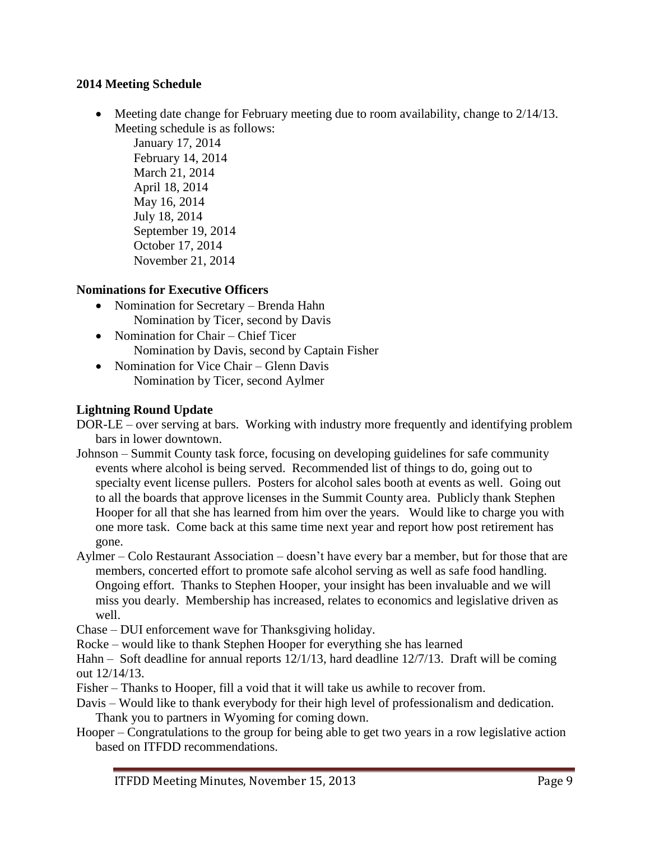## **2014 Meeting Schedule**

 $\bullet$  Meeting date change for February meeting due to room availability, change to 2/14/13. Meeting schedule is as follows:

January 17, 2014 February 14, 2014 March 21, 2014 April 18, 2014 May 16, 2014 July 18, 2014 September 19, 2014 October 17, 2014 November 21, 2014

# **Nominations for Executive Officers**

- Nomination for Secretary Brenda Hahn Nomination by Ticer, second by Davis
- Nomination for Chair Chief Ticer Nomination by Davis, second by Captain Fisher
- Nomination for Vice Chair Glenn Davis Nomination by Ticer, second Aylmer

## **Lightning Round Update**

DOR-LE – over serving at bars. Working with industry more frequently and identifying problem bars in lower downtown.

- Johnson Summit County task force, focusing on developing guidelines for safe community events where alcohol is being served. Recommended list of things to do, going out to specialty event license pullers. Posters for alcohol sales booth at events as well. Going out to all the boards that approve licenses in the Summit County area. Publicly thank Stephen Hooper for all that she has learned from him over the years. Would like to charge you with one more task. Come back at this same time next year and report how post retirement has gone.
- Aylmer Colo Restaurant Association doesn't have every bar a member, but for those that are members, concerted effort to promote safe alcohol serving as well as safe food handling. Ongoing effort. Thanks to Stephen Hooper, your insight has been invaluable and we will miss you dearly. Membership has increased, relates to economics and legislative driven as well.
- Chase DUI enforcement wave for Thanksgiving holiday.
- Rocke would like to thank Stephen Hooper for everything she has learned
- Hahn Soft deadline for annual reports 12/1/13, hard deadline 12/7/13. Draft will be coming out 12/14/13.
- Fisher Thanks to Hooper, fill a void that it will take us awhile to recover from.
- Davis Would like to thank everybody for their high level of professionalism and dedication. Thank you to partners in Wyoming for coming down.
- Hooper Congratulations to the group for being able to get two years in a row legislative action based on ITFDD recommendations.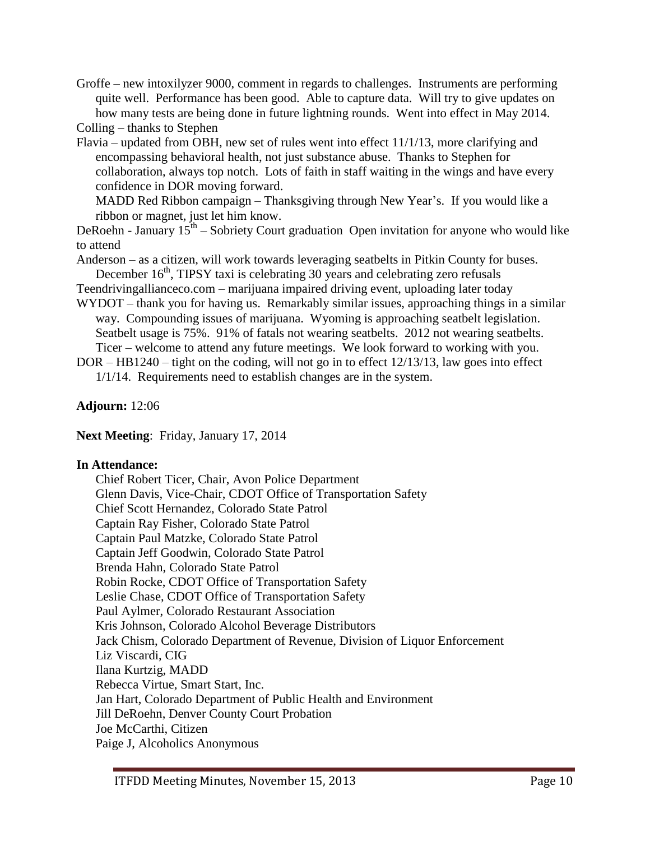Groffe – new intoxilyzer 9000, comment in regards to challenges. Instruments are performing quite well. Performance has been good. Able to capture data. Will try to give updates on how many tests are being done in future lightning rounds. Went into effect in May 2014.

Colling – thanks to Stephen

Flavia – updated from OBH, new set of rules went into effect 11/1/13, more clarifying and encompassing behavioral health, not just substance abuse. Thanks to Stephen for collaboration, always top notch. Lots of faith in staff waiting in the wings and have every confidence in DOR moving forward.

MADD Red Ribbon campaign – Thanksgiving through New Year's. If you would like a ribbon or magnet, just let him know.

DeRoehn - January  $15<sup>th</sup>$  – Sobriety Court graduation Open invitation for anyone who would like to attend

Anderson – as a citizen, will work towards leveraging seatbelts in Pitkin County for buses. December  $16<sup>th</sup>$ , TIPSY taxi is celebrating 30 years and celebrating zero refusals

- Teendrivingallianceco.com marijuana impaired driving event, uploading later today
- WYDOT thank you for having us. Remarkably similar issues, approaching things in a similar way. Compounding issues of marijuana. Wyoming is approaching seatbelt legislation. Seatbelt usage is 75%. 91% of fatals not wearing seatbelts. 2012 not wearing seatbelts. Ticer – welcome to attend any future meetings. We look forward to working with you.

DOR – HB1240 – tight on the coding, will not go in to effect 12/13/13, law goes into effect 1/1/14. Requirements need to establish changes are in the system.

**Adjourn:** 12:06

**Next Meeting**: Friday, January 17, 2014

## **In Attendance:**

Chief Robert Ticer, Chair, Avon Police Department Glenn Davis, Vice-Chair, CDOT Office of Transportation Safety Chief Scott Hernandez, Colorado State Patrol Captain Ray Fisher, Colorado State Patrol Captain Paul Matzke, Colorado State Patrol Captain Jeff Goodwin, Colorado State Patrol Brenda Hahn, Colorado State Patrol Robin Rocke, CDOT Office of Transportation Safety Leslie Chase, CDOT Office of Transportation Safety Paul Aylmer, Colorado Restaurant Association Kris Johnson, Colorado Alcohol Beverage Distributors Jack Chism, Colorado Department of Revenue, Division of Liquor Enforcement Liz Viscardi, CIG Ilana Kurtzig, MADD Rebecca Virtue, Smart Start, Inc. Jan Hart, Colorado Department of Public Health and Environment Jill DeRoehn, Denver County Court Probation Joe McCarthi, Citizen Paige J, Alcoholics Anonymous